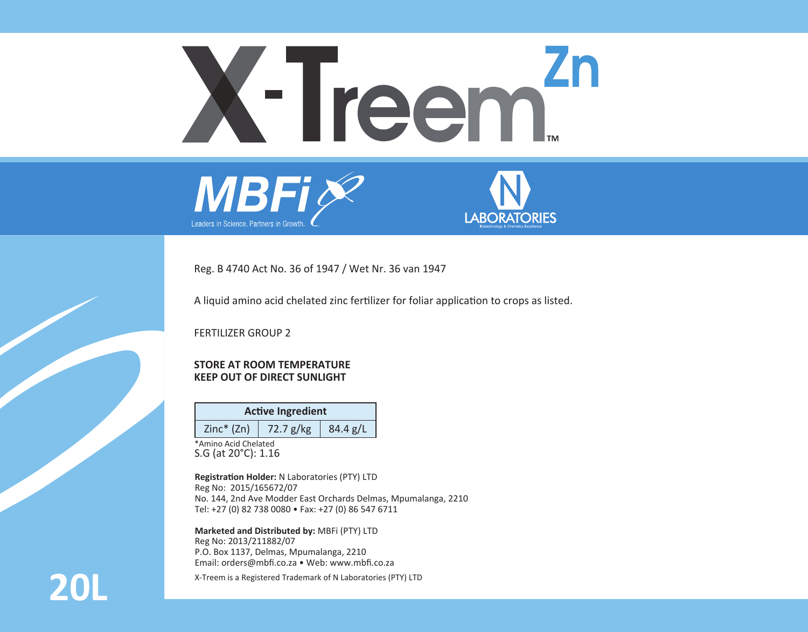# **Zn** X-Treem<sup>Z</sup>





Reg. B 4740 Act No. 36 of 1947 / Wet Nr. 36 van 1947

A liquid amino acid chelated zinc fertilizer for foliar application to crops as listed.

FERTILIZER GROUP 2

### **STORE AT ROOM TEMPERATURE KEEP OUT OF DIRECT SUNLIGHT**

| <b>Active Ingredient</b> |                       |          |  |  |
|--------------------------|-----------------------|----------|--|--|
| $Zinc*(Zn)$              | $\frac{1}{22.7}$ g/kg | 84.4 g/L |  |  |

\*Amino Acid Chelated S.G (at 20°C): 1.16

**Registration Holder:** N Laboratories (PTY) LTD Reg No: 2015/165672/07 No. 144, 2nd Ave Modder East Orchards Delmas, Mpumalanga, 2210 Tel: +27 (0) 82 738 0080 • Fax: +27 (0) 86 547 6711

**Marketed and Distributed by:** MBFi (PTY) LTD Reg No: 2013/211882/07 P.O. Box 1137, Delmas, Mpumalanga, 2210 Email: orders@mbfi.co.za • Web: www.mbfi.co.za

**20L** X-Treem is a Registered Trademark of N Laboratories (PTY) LTD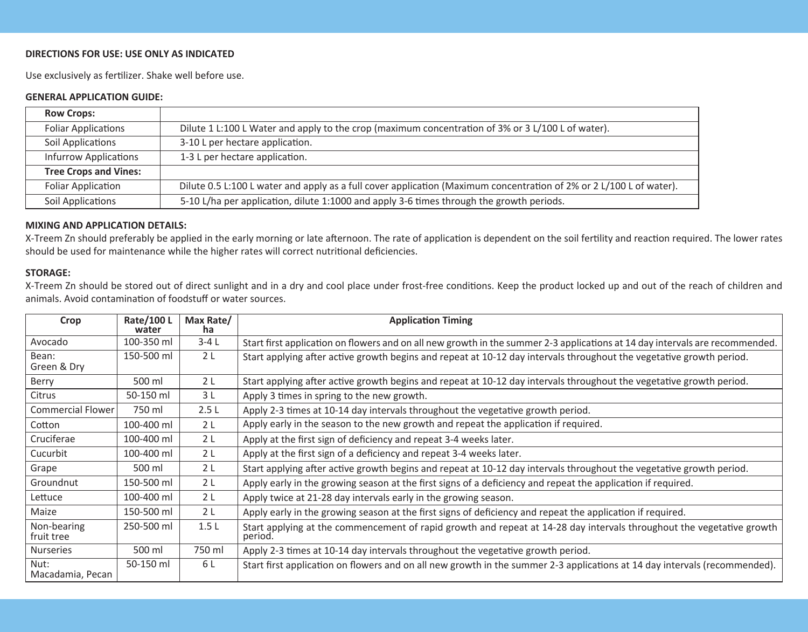### **DIRECTIONS FOR USE: USE ONLY AS INDICATED**

Use exclusively as fertilizer. Shake well before use.

## **GENERAL APPLICATION GUIDE:**

| <b>Row Crops:</b>            |                                                                                                                     |  |
|------------------------------|---------------------------------------------------------------------------------------------------------------------|--|
| <b>Foliar Applications</b>   | Dilute 1 L:100 L Water and apply to the crop (maximum concentration of 3% or 3 L/100 L of water).                   |  |
| Soil Applications            | 3-10 L per hectare application.                                                                                     |  |
| <b>Infurrow Applications</b> | 1-3 L per hectare application.                                                                                      |  |
| <b>Tree Crops and Vines:</b> |                                                                                                                     |  |
| Foliar Application           | Dilute 0.5 L:100 L water and apply as a full cover application (Maximum concentration of 2% or 2 L/100 L of water). |  |
| Soil Applications            | 5-10 L/ha per application, dilute 1:1000 and apply 3-6 times through the growth periods.                            |  |

# **MIXING AND APPLICATION DETAILS:**

X-Treem Zn should preferably be applied in the early morning or late afternoon. The rate of application is dependent on the soil fertility and reaction required. The lower rates should be used for maintenance while the higher rates will correct nutritional deficiencies.

### **STORAGE:**

X-Treem Zn should be stored out of direct sunlight and in a dry and cool place under frost-free conditions. Keep the product locked up and out of the reach of children and animals. Avoid contamination of foodstuff or water sources.

| Crop                      | Rate/100L<br>water | Max Rate/<br>ha | <b>Application Timing</b>                                                                                                        |
|---------------------------|--------------------|-----------------|----------------------------------------------------------------------------------------------------------------------------------|
| Avocado                   | 100-350 ml         | $3-4L$          | Start first application on flowers and on all new growth in the summer 2-3 applications at 14 day intervals are recommended.     |
| Bean:<br>Green & Dry      | 150-500 ml         | 2L              | Start applying after active growth begins and repeat at 10-12 day intervals throughout the vegetative growth period.             |
| Berry                     | 500 ml             | 2 <sub>L</sub>  | Start applying after active growth begins and repeat at 10-12 day intervals throughout the vegetative growth period.             |
| Citrus                    | 50-150 ml          | 3 L             | Apply 3 times in spring to the new growth.                                                                                       |
| Commercial Flower         | 750 ml             | 2.5L            | Apply 2-3 times at 10-14 day intervals throughout the vegetative growth period.                                                  |
| Cotton                    | 100-400 ml         | 2 <sub>1</sub>  | Apply early in the season to the new growth and repeat the application if required.                                              |
| Cruciferae                | 100-400 ml         | 2 <sub>1</sub>  | Apply at the first sign of deficiency and repeat 3-4 weeks later.                                                                |
| Cucurbit                  | 100-400 ml         | 2 <sub>1</sub>  | Apply at the first sign of a deficiency and repeat 3-4 weeks later.                                                              |
| Grape                     | 500 ml             | 2L              | Start applying after active growth begins and repeat at 10-12 day intervals throughout the vegetative growth period.             |
| Groundnut                 | 150-500 ml         | 2 <sub>1</sub>  | Apply early in the growing season at the first signs of a deficiency and repeat the application if required.                     |
| Lettuce                   | 100-400 ml         | 2 <sub>1</sub>  | Apply twice at 21-28 day intervals early in the growing season.                                                                  |
| Maize                     | 150-500 ml         | 2 <sub>L</sub>  | Apply early in the growing season at the first signs of deficiency and repeat the application if required.                       |
| Non-bearing<br>fruit tree | 250-500 ml         | 1.5L            | Start applying at the commencement of rapid growth and repeat at 14-28 day intervals throughout the vegetative growth<br>period. |
| Nurseries                 | 500 ml             | 750 ml          | Apply 2-3 times at 10-14 day intervals throughout the vegetative growth period.                                                  |
| Nut:<br>Macadamia, Pecan  | 50-150 ml          | 6 L             | Start first application on flowers and on all new growth in the summer 2-3 applications at 14 day intervals (recommended).       |